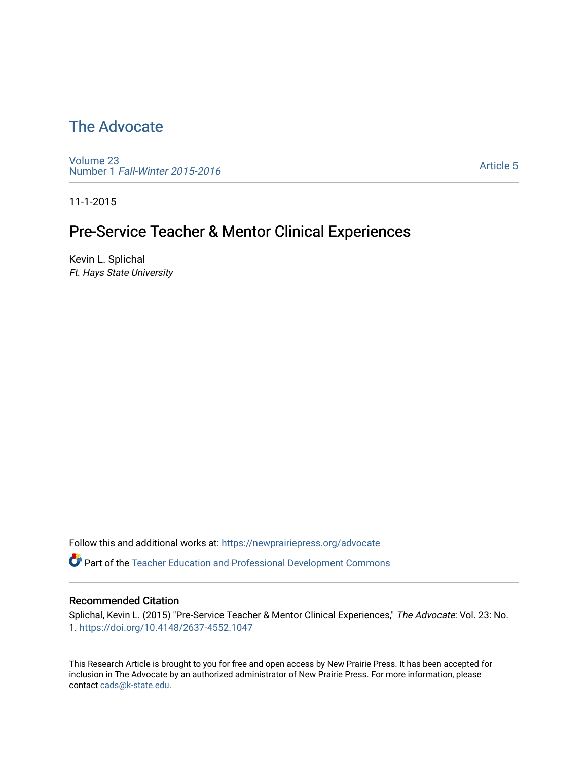# [The Advocate](https://newprairiepress.org/advocate)

[Volume 23](https://newprairiepress.org/advocate/vol23) Number 1 [Fall-Winter 2015-2016](https://newprairiepress.org/advocate/vol23/iss1) 

[Article 5](https://newprairiepress.org/advocate/vol23/iss1/5) 

11-1-2015

# Pre-Service Teacher & Mentor Clinical Experiences

Kevin L. Splichal Ft. Hays State University

Follow this and additional works at: [https://newprairiepress.org/advocate](https://newprairiepress.org/advocate?utm_source=newprairiepress.org%2Fadvocate%2Fvol23%2Fiss1%2F5&utm_medium=PDF&utm_campaign=PDFCoverPages) 

Part of the [Teacher Education and Professional Development Commons](http://network.bepress.com/hgg/discipline/803?utm_source=newprairiepress.org%2Fadvocate%2Fvol23%2Fiss1%2F5&utm_medium=PDF&utm_campaign=PDFCoverPages) 

#### Recommended Citation

Splichal, Kevin L. (2015) "Pre-Service Teacher & Mentor Clinical Experiences," The Advocate: Vol. 23: No. 1. <https://doi.org/10.4148/2637-4552.1047>

This Research Article is brought to you for free and open access by New Prairie Press. It has been accepted for inclusion in The Advocate by an authorized administrator of New Prairie Press. For more information, please contact [cads@k-state.edu](mailto:cads@k-state.edu).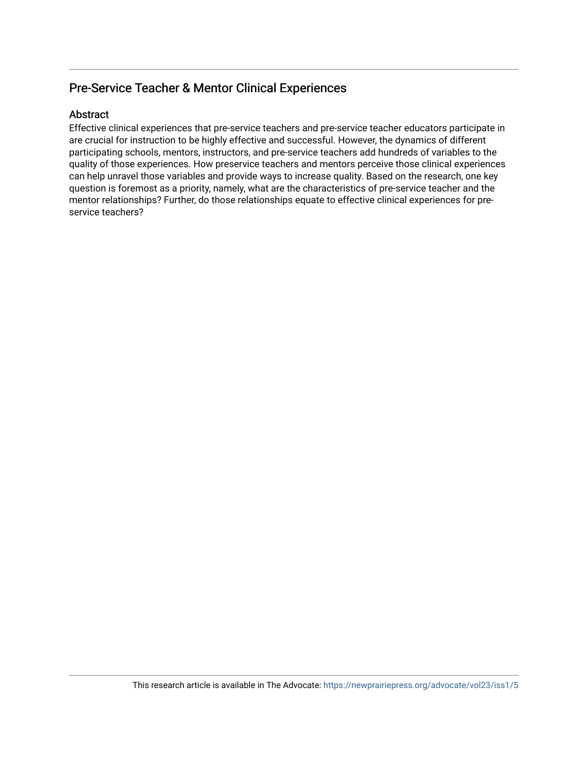## Pre-Service Teacher & Mentor Clinical Experiences

#### Abstract

Effective clinical experiences that pre-service teachers and pre-service teacher educators participate in are crucial for instruction to be highly effective and successful. However, the dynamics of different participating schools, mentors, instructors, and pre-service teachers add hundreds of variables to the quality of those experiences. How preservice teachers and mentors perceive those clinical experiences can help unravel those variables and provide ways to increase quality. Based on the research, one key question is foremost as a priority, namely, what are the characteristics of pre-service teacher and the mentor relationships? Further, do those relationships equate to effective clinical experiences for preservice teachers?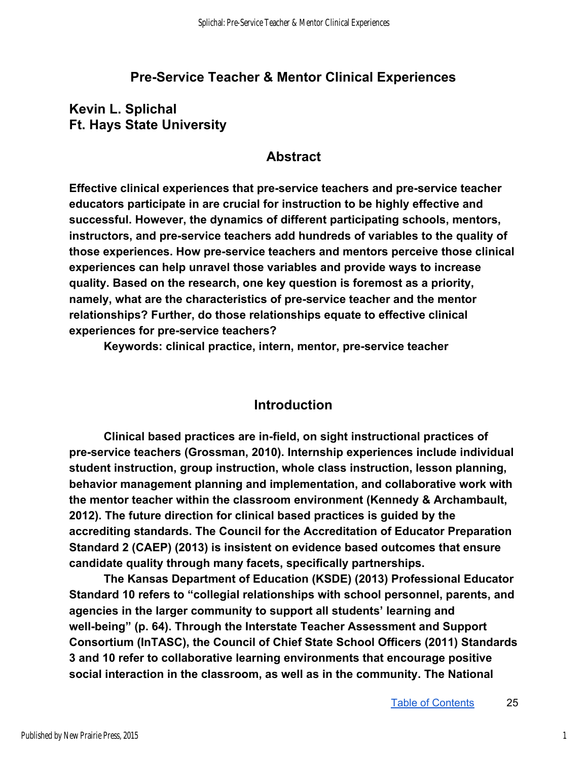## **Pre-Service Teacher & Mentor Clinical Experiences**

## **Kevin L. Splichal Ft. Hays State University**

### **Abstract**

**Effective clinical experiences that pre-service teachers and pre-service teacher educators participate in are crucial for instruction to be highly effective and successful. However, the dynamics of different participating schools, mentors, instructors, and preservice teachers add hundreds of variables to the quality of**  those experiences. How pre-service teachers and mentors perceive those clinical **experiences can help unravel those variables and provide ways to increase quality. Based on the research, one key question is foremost as a priority, namely, what are the characteristics of preservice teacher and the mentor relationships? Further, do those relationships equate to effective clinical experiences for preservice teachers?** 

**Keywords: clinical practice, intern, mentor, preservice teacher** 

### **Introduction**

**Clinical based practices are infield, on sight instructional practices of**  pre-service teachers (Grossman, 2010). Internship experiences include individual **student instruction, group instruction, whole class instruction, lesson planning, behavior management planning and implementation, and collaborative work with the mentor teacher within the classroom environment (Kennedy & Archambault, 2012). The future direction for clinical based practices is guided by the accrediting standards. The Council for the Accreditation of Educator Preparation Standard 2 (CAEP) (2013) is insistent on evidence based outcomes that ensure candidate quality through many facets, specifically partnerships.** 

**The Kansas Department of Education (KSDE) (2013) Professional Educator Standard 10 refers to "collegial relationships with school personnel, parents, and agencies in the larger community to support all students' learning and**  well-being" (p. 64). Through the Interstate Teacher Assessment and Support **Consortium (InTASC), the Council of Chief State School Officers (2011) Standards 3 and 10 refer to collaborative learning environments that encourage positive social interaction in the classroom, as well as in the community. The National**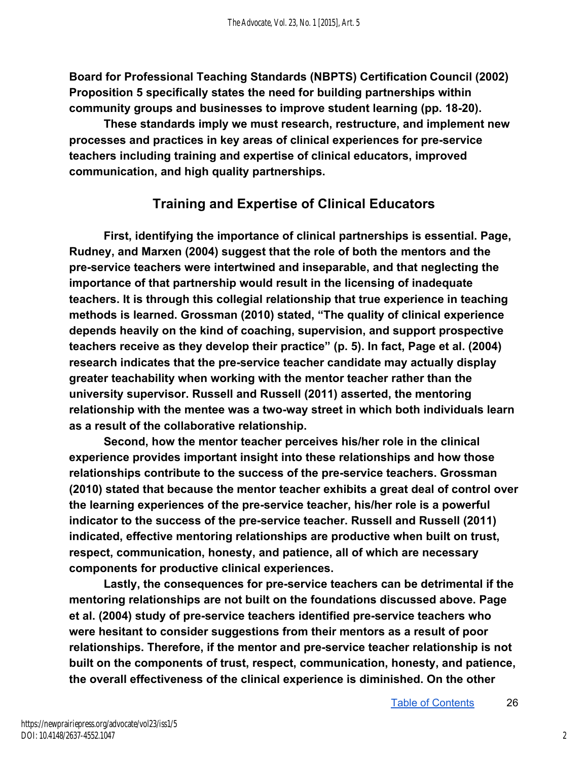**Board for Professional Teaching Standards (NBPTS) CertificationCouncil (2002) Proposition 5 specifically states the need for building partnerships within community groups and businesses to improve student learning (pp. 1820).** 

**These standards imply we must research, restructure, and implement new processes and practices in key areas of clinical experiences for preservice teachers including training and expertise of clinical educators, improved communication, and high quality partnerships.** 

# **Training and Expertise of Clinical Educators**

**First, identifying the importance of clinical partnerships is essential. Page, Rudney, and Marxen (2004) suggest that the role of both the mentors and the preservice teachers were intertwined and inseparable, and that neglecting the importance of that partnership would result in the licensing of inadequate teachers. It is through this collegial relationship that true experience in teaching methods is learned. Grossman (2010) stated, "The quality of clinical experience depends heavily on the kind of coaching, supervision, and support prospective teachers receive as they develop their practice" (p. 5). In fact, Page et al. (2004)**  research indicates that the pre-service teacher candidate may actually display **greater teachability when working with the mentor teacher rather than the university supervisor. Russell and Russell (2011) asserted, the mentoring**  relationship with the mentee was a two-way street in which both individuals learn **as a result of the collaborative relationship.** 

**Second, how the mentor teacher perceives his/her role in the clinical experience provides important insight into these relationships and how those relationships contribute to the success of the preservice teachers. Grossman (2010) stated that because the mentor teacher exhibits a great deal of control over the learning experiences of the preservice teacher, his/her role is a powerful indicator to the success of the preservice teacher. Russell and Russell (2011) indicated, effective mentoring relationships are productive when built on trust, respect, communication, honesty, and patience, all of which are necessary components for productive clinical experiences.** 

Lastly, the consequences for pre-service teachers can be detrimental if the **mentoring relationships are not built on the foundations discussed above. Page et al. (2004) study of preservice teachers identified preservice teachers who were hesitant to consider suggestions from their mentors as a result of poor relationships. Therefore, if the mentor and preservice teacher relationship is not built on the components of trust, respect, communication, honesty, and patience, the overall effectiveness of the clinical experience is diminished. On the other**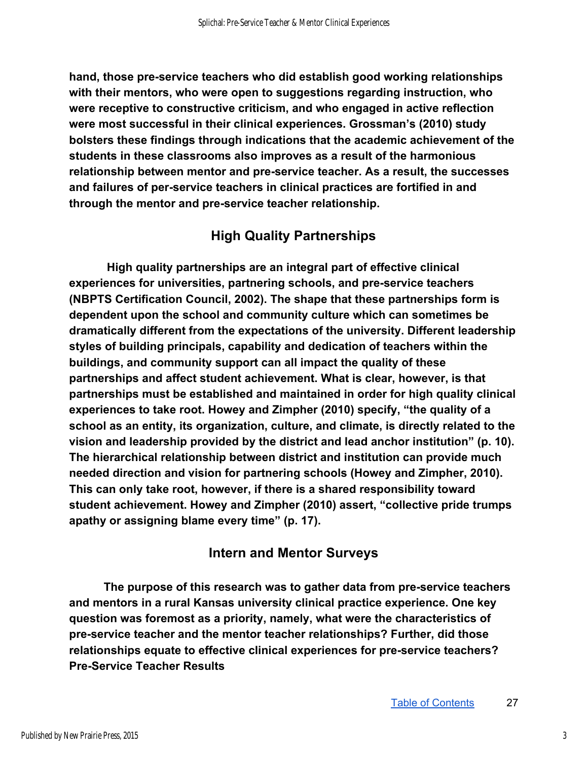**hand, those preservice teachers who did establish good working relationships with their mentors, who were open to suggestions regarding instruction, who were receptive to constructive criticism, and who engaged in active reflection were most successful in their clinical experiences. Grossman's (2010) study bolsters these findings through indications that the academic achievement of the students in these classrooms also improves as a result of the harmonious relationship between mentor and preservice teacher. As a result, the successes**  and failures of per-service teachers in clinical practices are fortified in and **through the mentor and preservice teacher relationship.** 

## **High Quality Partnerships**

 **High quality partnerships are an integral part of effective clinical**  experiences for universities, partnering schools, and pre-service teachers **(NBPTS Certification Council, 2002). The shape that these partnerships form is dependent upon the school and community culture which can sometimes be dramatically different from the expectations of the university. Different leadership styles of building principals, capability and dedication of teachers within the buildings, and community support can all impact the quality of these partnerships and affect student achievement. What is clear, however, is that partnerships must be established and maintained in order for high quality clinical experiences to take root. Howey and Zimpher (2010) specify, "the quality of a school as an entity, its organization, culture, and climate, is directly related to the vision and leadership provided by the district and lead anchor institution" (p. 10). The hierarchical relationship between district and institution can provide much needed direction and vision for partnering schools (Howey and Zimpher, 2010). This can only take root, however, if there is a shared responsibility toward student achievement. Howey and Zimpher (2010) assert, "collective pride trumps apathy or assigning blame every time" (p. 17).** 

## **Intern and Mentor Surveys**

**The purpose of this research was to gather data from preservice teachers and mentors in a rural Kansas university clinical practice experience. One key question was foremost as a priority, namely, what were the characteristics of preservice teacher and the mentor teacher relationships? Further, did those relationships equate to effective clinical experiences for preservice teachers? Pre-Service Teacher Results**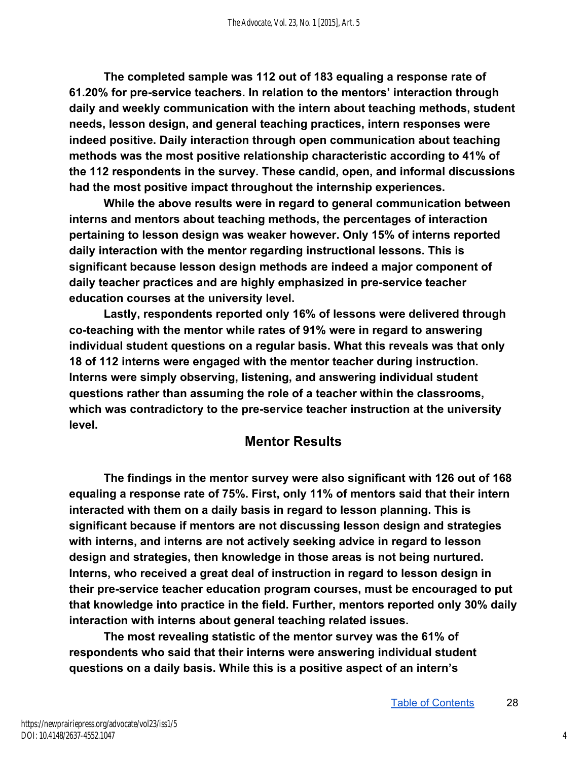**The completed sample was 112 out of 183 equaling a response rate of 61.20% for preservice teachers. In relation to the mentors' interaction through daily and weekly communication with the intern about teaching methods, student needs, lesson design, and general teaching practices, intern responses were indeed positive. Daily interaction through open communication about teaching methods was the most positive relationship characteristic according to 41% of the 112 respondents in the survey. These candid, open, and informal discussions had the most positive impact throughout the internship experiences.** 

**While the above results were in regard to general communication between interns and mentors about teaching methods, the percentages of interaction pertaining to lesson design was weaker however. Only 15% of interns reported daily interaction with the mentor regarding instructional lessons. This is significant because lesson design methods are indeed a major component of daily teacher practices and are highly emphasized in preservice teacher education courses at the university level.** 

**Lastly, respondents reported only 16% of lessons were delivered through**  co-teaching with the mentor while rates of 91% were in regard to answering **individual student questions on a regular basis. What this reveals was that only 18 of 112 interns were engaged with the mentor teacher during instruction. Interns were simply observing, listening, and answering individual student questions rather than assuming the role of a teacher within the classrooms,**  which was contradictory to the pre-service teacher instruction at the university **level.** 

## **Mentor Results**

**The findings in the mentor survey were also significant with 126 out of 168 equaling a response rate of 75%.First, only 11% of mentors said that their intern interacted with them on a daily basis in regard to lesson planning. This is significant because if mentors are not discussing lesson design and strategies with interns, and interns are not actively seeking advice in regard to lesson design and strategies, then knowledge in those areas is not being nurtured. Interns, who received a great deal of instruction in regard to lesson design in their preservice teacher education program courses, must be encouraged to put that knowledge into practice in the field. Further, mentors reported only 30% daily interaction with interns about general teaching related issues.** 

**The most revealing statistic of the mentor survey was the 61% of respondents who said that their interns were answering individual student questions on a daily basis. While this is a positive aspect of an intern's**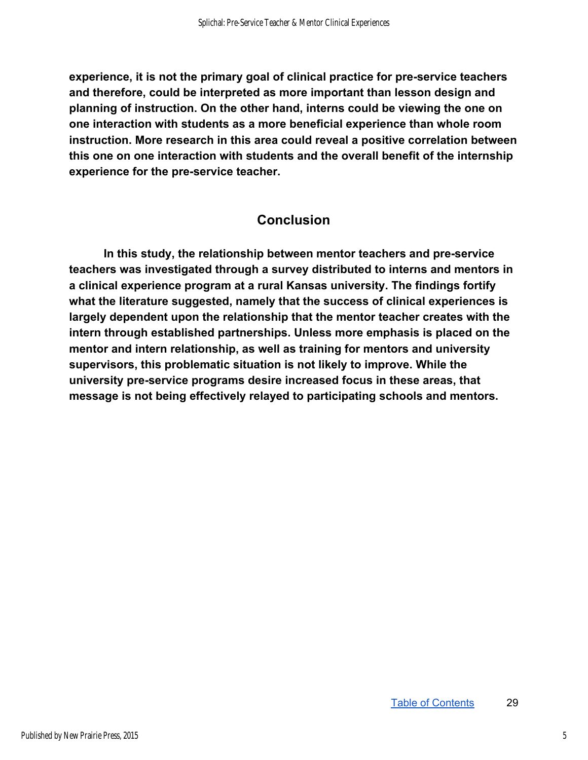**experience, it is not the primary goal of clinical practice for preservice teachers and therefore, could be interpreted as more important than lesson design and planning of instruction. On the other hand, interns could be viewing the one on one interaction with students as a more beneficial experience than whole room instruction. More research in this area could reveal a positive correlation between this one on one interaction with students and the overall benefit of the internship experience for the pre-service teacher.** 

## **Conclusion**

**In this study, the relationship between mentor teachers and preservice teachers was investigated through a survey distributed to interns and mentors in a clinical experience program at a rural Kansas university. The findings fortify what the literature suggested, namely that the success of clinical experiences is largely dependent upon the relationship that the mentor teacher creates with the intern through established partnerships. Unless more emphasis is placed on the mentor and intern relationship, as well as training for mentors and university supervisors, this problematic situation is not likely to improve. While the university preservice programs desire increased focus in these areas, that message is not being effectively relayed to participating schools and mentors.**